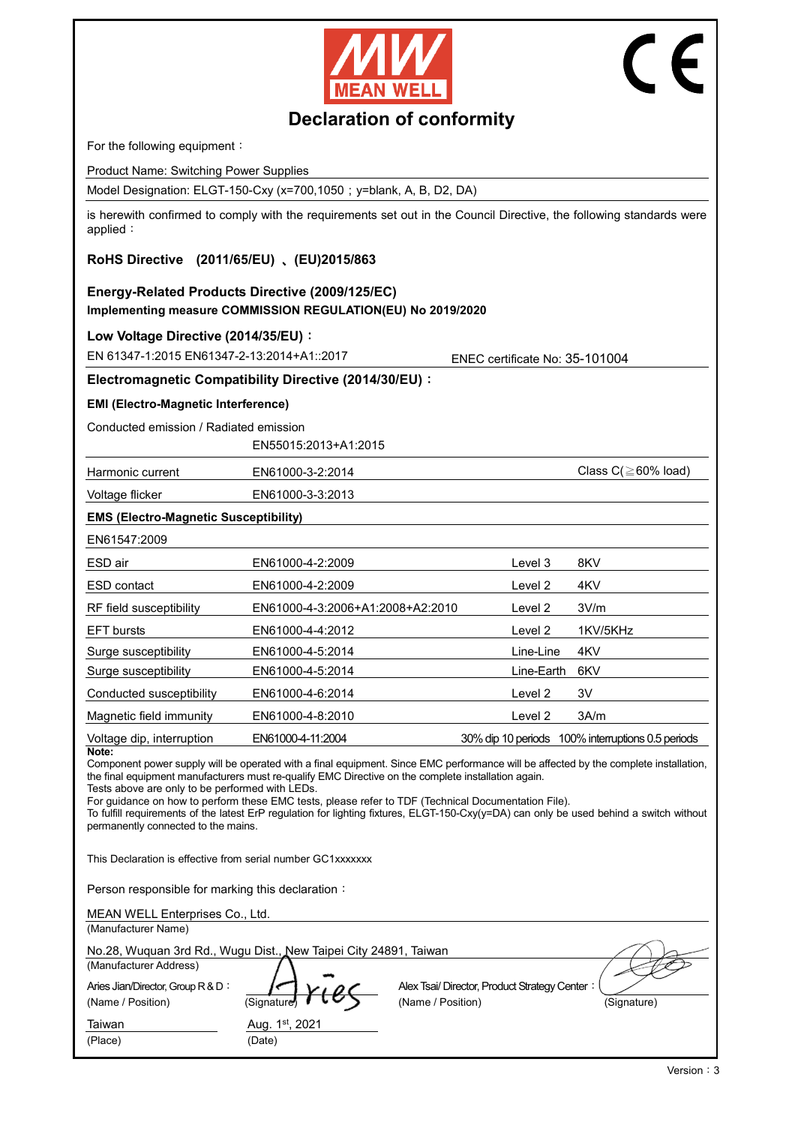



# **Declaration of conformity**

For the following equipment:

Product Name: Switching Power Supplies

Model Designation: ELGT-150-Cxy (x=700,1050; y=blank, A, B, D2, DA)

is herewith confirmed to comply with the requirements set out in the Council Directive, the following standards were applied:

## **RoHS Directive (2011/65/EU)** 、**(EU)2015/863**

# **Energy-Related Products Directive (2009/125/EC) Implementing measure COMMISSION REGULATION(EU) No 2019/2020**

**Low Voltage Directive (2014/35/EU)**:

EN 61347-1:2015 EN61347-2-13:2014+A1::2017 ENEC certificate No: 35-101004

### **Electromagnetic Compatibility Directive (2014/30/EU)**:

**EMI (Electro-Magnetic Interference)**

Conducted emission / Radiated emission

EN55015:2013+A1:2015

Harmonic current EN61000-3-2:2014 ENG1000-3-2:2014 Class C(≧60% load)

Voltage flicker EN61000-3-3:2013

### **EMS (Electro-Magnetic Susceptibility)**

| EN61547:2009              |                                  |            |                                                   |
|---------------------------|----------------------------------|------------|---------------------------------------------------|
| ESD air                   | EN61000-4-2:2009                 | Level 3    | 8KV                                               |
| ESD contact               | EN61000-4-2:2009                 | Level 2    | 4KV                                               |
| RF field susceptibility   | EN61000-4-3:2006+A1:2008+A2:2010 | Level 2    | 3V/m                                              |
| <b>EFT</b> bursts         | EN61000-4-4:2012                 | Level 2    | 1KV/5KHz                                          |
| Surge susceptibility      | EN61000-4-5:2014                 | Line-Line  | 4KV                                               |
| Surge susceptibility      | EN61000-4-5:2014                 | Line-Earth | 6KV                                               |
| Conducted susceptibility  | EN61000-4-6:2014                 | Level 2    | 3V                                                |
| Magnetic field immunity   | EN61000-4-8:2010                 | Level 2    | 3A/m                                              |
| Voltage dip, interruption | EN61000-4-11:2004                |            | 30% dip 10 periods 100% interruptions 0.5 periods |

**Note:**

Component power supply will be operated with a final equipment. Since EMC performance will be affected by the complete installation, the final equipment manufacturers must re-qualify EMC Directive on the complete installation again.

Tests above are only to be performed with LEDs.

For guidance on how to perform these EMC tests, please refer to TDF (Technical Documentation File).

To fulfill requirements of the latest ErP regulation for lighting fixtures, ELGT-150-Cxy(y=DA) can only be used behind a switch without permanently connected to the mains.

This Declaration is effective from serial number GC1xxxxxxx

Person responsible for marking this declaration:

| MEAN WELL Enterprises Co., Ltd.                                  |                          |                                              |             |
|------------------------------------------------------------------|--------------------------|----------------------------------------------|-------------|
| (Manufacturer Name)                                              |                          |                                              |             |
| No.28, Wuquan 3rd Rd., Wugu Dist., New Taipei City 24891, Taiwan |                          |                                              |             |
| (Manufacturer Address)                                           |                          |                                              |             |
| Aries Jian/Director, Group R & D:                                |                          | Alex Tsai/Director, Product Strategy Center: |             |
| (Name / Position)                                                | (Signature)              | (Name / Position)                            | (Signature) |
| Taiwan<br>(Place)                                                | Aug. 1st, 2021<br>(Date) |                                              |             |